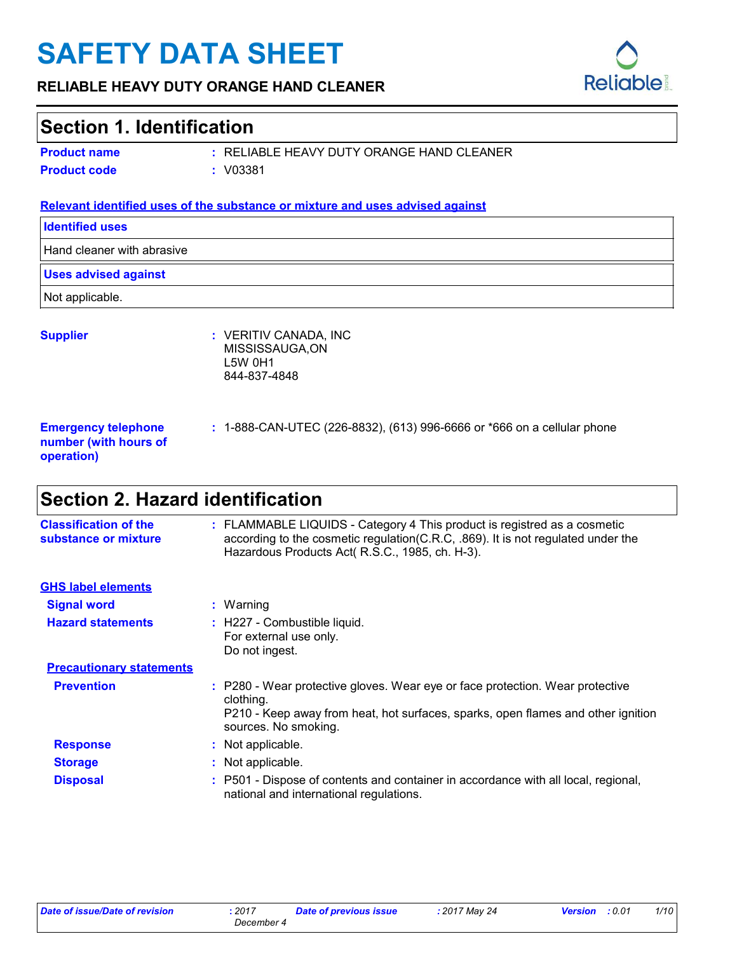# **SAFETY DATA SHEET**

#### **RELIABLE HEAVY DUTY ORANGE HAND CLEANER**

### **Section 1. Identification**

|  | <b>Product name</b> |  |
|--|---------------------|--|
|  |                     |  |

RELIABLE HEAVY DUTY ORANGE HAND CLEANER **:**

**Product code :** V03381

#### **Relevant identified uses of the substance or mixture and uses advised against**

| <b>Identified uses</b>                                            |                                                                            |  |  |  |
|-------------------------------------------------------------------|----------------------------------------------------------------------------|--|--|--|
|                                                                   | Hand cleaner with abrasive                                                 |  |  |  |
| <b>Uses advised against</b>                                       |                                                                            |  |  |  |
| Not applicable.                                                   |                                                                            |  |  |  |
| <b>Supplier</b>                                                   | : VERITIV CANADA, INC<br>MISSISSAUGA, ON<br><b>L5W 0H1</b><br>844-837-4848 |  |  |  |
| <b>Emergency telephone</b><br>number (with hours of<br>operation) | : 1-888-CAN-UTEC (226-8832), (613) 996-6666 or *666 on a cellular phone    |  |  |  |

# **Section 2. Hazard identification**

| <b>Classification of the</b><br>substance or mixture | : FLAMMABLE LIQUIDS - Category 4 This product is registred as a cosmetic<br>according to the cosmetic regulation (C.R.C, .869). It is not regulated under the<br>Hazardous Products Act(R.S.C., 1985, ch. H-3). |
|------------------------------------------------------|-----------------------------------------------------------------------------------------------------------------------------------------------------------------------------------------------------------------|
| <b>GHS label elements</b>                            |                                                                                                                                                                                                                 |
| <b>Signal word</b>                                   | : Warning                                                                                                                                                                                                       |
| <b>Hazard statements</b>                             | : H227 - Combustible liquid.<br>For external use only.<br>Do not ingest.                                                                                                                                        |
| <b>Precautionary statements</b>                      |                                                                                                                                                                                                                 |
| <b>Prevention</b>                                    | : P280 - Wear protective gloves. Wear eye or face protection. Wear protective<br>clothing.<br>P210 - Keep away from heat, hot surfaces, sparks, open flames and other ignition<br>sources. No smoking.          |
| <b>Response</b>                                      | : Not applicable.                                                                                                                                                                                               |
| <b>Storage</b>                                       | : Not applicable.                                                                                                                                                                                               |
| <b>Disposal</b>                                      | : P501 - Dispose of contents and container in accordance with all local, regional,<br>national and international regulations.                                                                                   |

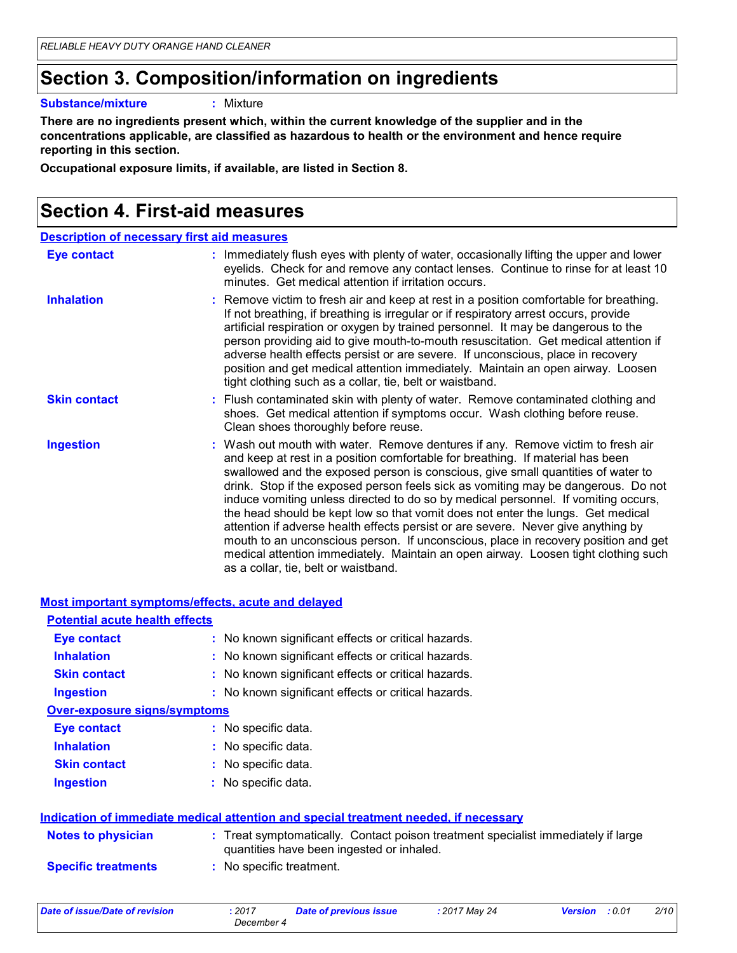### **Section 3. Composition/information on ingredients**

**Substance/mixture :**

: Mixture

**There are no ingredients present which, within the current knowledge of the supplier and in the concentrations applicable, are classified as hazardous to health or the environment and hence require reporting in this section.**

**Occupational exposure limits, if available, are listed in Section 8.**

### **Section 4. First-aid measures**

| <b>Description of necessary first aid measures</b> |  |  |  |  |
|----------------------------------------------------|--|--|--|--|
|----------------------------------------------------|--|--|--|--|

| <b>Eye contact</b>  | : Immediately flush eyes with plenty of water, occasionally lifting the upper and lower<br>eyelids. Check for and remove any contact lenses. Continue to rinse for at least 10<br>minutes. Get medical attention if irritation occurs.                                                                                                                                                                                                                                                                                                                                                                                                                                                                                                                                                                                       |
|---------------------|------------------------------------------------------------------------------------------------------------------------------------------------------------------------------------------------------------------------------------------------------------------------------------------------------------------------------------------------------------------------------------------------------------------------------------------------------------------------------------------------------------------------------------------------------------------------------------------------------------------------------------------------------------------------------------------------------------------------------------------------------------------------------------------------------------------------------|
| <b>Inhalation</b>   | : Remove victim to fresh air and keep at rest in a position comfortable for breathing.<br>If not breathing, if breathing is irregular or if respiratory arrest occurs, provide<br>artificial respiration or oxygen by trained personnel. It may be dangerous to the<br>person providing aid to give mouth-to-mouth resuscitation. Get medical attention if<br>adverse health effects persist or are severe. If unconscious, place in recovery<br>position and get medical attention immediately. Maintain an open airway. Loosen<br>tight clothing such as a collar, tie, belt or waistband.                                                                                                                                                                                                                                 |
| <b>Skin contact</b> | : Flush contaminated skin with plenty of water. Remove contaminated clothing and<br>shoes. Get medical attention if symptoms occur. Wash clothing before reuse.<br>Clean shoes thoroughly before reuse.                                                                                                                                                                                                                                                                                                                                                                                                                                                                                                                                                                                                                      |
| <b>Ingestion</b>    | : Wash out mouth with water. Remove dentures if any. Remove victim to fresh air<br>and keep at rest in a position comfortable for breathing. If material has been<br>swallowed and the exposed person is conscious, give small quantities of water to<br>drink. Stop if the exposed person feels sick as vomiting may be dangerous. Do not<br>induce vomiting unless directed to do so by medical personnel. If vomiting occurs,<br>the head should be kept low so that vomit does not enter the lungs. Get medical<br>attention if adverse health effects persist or are severe. Never give anything by<br>mouth to an unconscious person. If unconscious, place in recovery position and get<br>medical attention immediately. Maintain an open airway. Loosen tight clothing such<br>as a collar, tie, belt or waistband. |

|                                       | <b>Most important symptoms/effects, acute and delayed</b>                                                                      |
|---------------------------------------|--------------------------------------------------------------------------------------------------------------------------------|
| <b>Potential acute health effects</b> |                                                                                                                                |
| Eye contact                           | : No known significant effects or critical hazards.                                                                            |
| <b>Inhalation</b>                     | : No known significant effects or critical hazards.                                                                            |
| <b>Skin contact</b>                   | : No known significant effects or critical hazards.                                                                            |
| <b>Ingestion</b>                      | : No known significant effects or critical hazards.                                                                            |
| <b>Over-exposure signs/symptoms</b>   |                                                                                                                                |
| <b>Eye contact</b>                    | : No specific data.                                                                                                            |
| <b>Inhalation</b>                     | : No specific data.                                                                                                            |
| <b>Skin contact</b>                   | : No specific data.                                                                                                            |
| <b>Ingestion</b>                      | : No specific data.                                                                                                            |
|                                       | Indication of immediate medical attention and special treatment needed, if necessary                                           |
| <b>Notes to physician</b>             | : Treat symptomatically. Contact poison treatment specialist immediately if large<br>quantities have been ingested or inhaled. |
| <b>Specific treatments</b>            | : No specific treatment.                                                                                                       |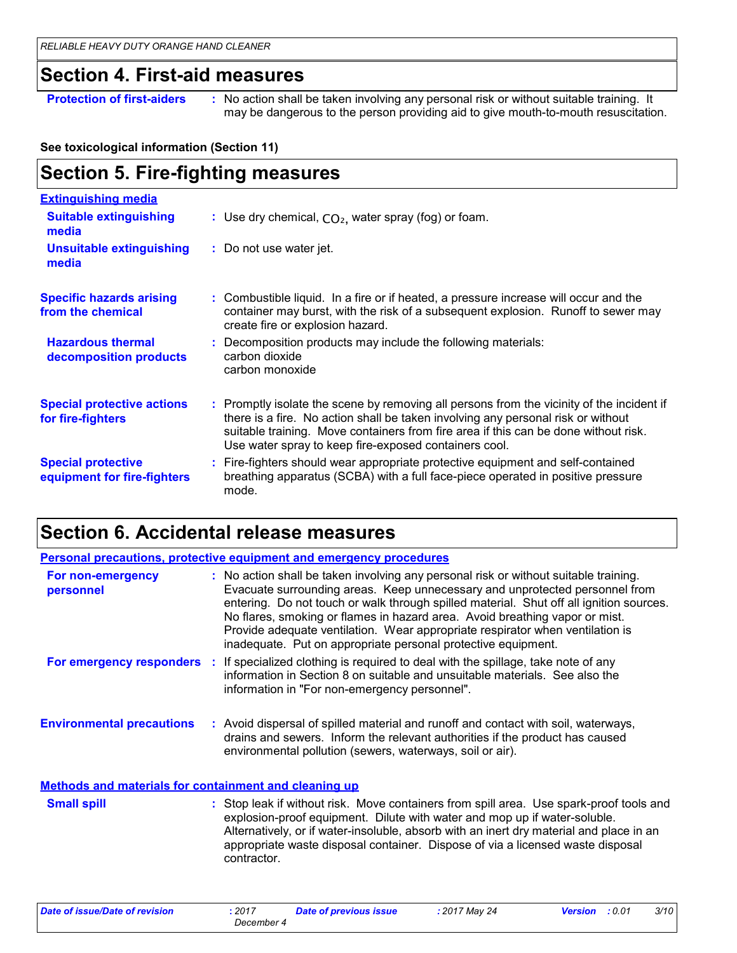### **Section 4. First-aid measures**

**Section 5. Fire-fighting measures**

**Protection of first-aiders** : No action shall be taken involving any personal risk or without suitable training. It may be dangerous to the person providing aid to give mouth-to-mouth resuscitation.

#### **See toxicological information (Section 11)**

| <b>Extinguishing media</b>                               |                                                                                                                                                                                                                                                                                                                               |
|----------------------------------------------------------|-------------------------------------------------------------------------------------------------------------------------------------------------------------------------------------------------------------------------------------------------------------------------------------------------------------------------------|
| <b>Suitable extinguishing</b><br>media                   | : Use dry chemical, $CO2$ , water spray (fog) or foam.                                                                                                                                                                                                                                                                        |
| <b>Unsuitable extinguishing</b><br>media                 | : Do not use water jet.                                                                                                                                                                                                                                                                                                       |
| <b>Specific hazards arising</b><br>from the chemical     | : Combustible liquid. In a fire or if heated, a pressure increase will occur and the<br>container may burst, with the risk of a subsequent explosion. Runoff to sewer may<br>create fire or explosion hazard.                                                                                                                 |
| <b>Hazardous thermal</b><br>decomposition products       | : Decomposition products may include the following materials:<br>carbon dioxide<br>carbon monoxide                                                                                                                                                                                                                            |
| <b>Special protective actions</b><br>for fire-fighters   | : Promptly isolate the scene by removing all persons from the vicinity of the incident if<br>there is a fire. No action shall be taken involving any personal risk or without<br>suitable training. Move containers from fire area if this can be done without risk.<br>Use water spray to keep fire-exposed containers cool. |
| <b>Special protective</b><br>equipment for fire-fighters | : Fire-fighters should wear appropriate protective equipment and self-contained<br>breathing apparatus (SCBA) with a full face-piece operated in positive pressure<br>mode.                                                                                                                                                   |

### **Section 6. Accidental release measures**

|                                                              | <b>Personal precautions, protective equipment and emergency procedures</b>                                                                                                                                                                                                                                                                                                                                                                                                                      |
|--------------------------------------------------------------|-------------------------------------------------------------------------------------------------------------------------------------------------------------------------------------------------------------------------------------------------------------------------------------------------------------------------------------------------------------------------------------------------------------------------------------------------------------------------------------------------|
| For non-emergency<br>personnel                               | : No action shall be taken involving any personal risk or without suitable training.<br>Evacuate surrounding areas. Keep unnecessary and unprotected personnel from<br>entering. Do not touch or walk through spilled material. Shut off all ignition sources.<br>No flares, smoking or flames in hazard area. Avoid breathing vapor or mist.<br>Provide adequate ventilation. Wear appropriate respirator when ventilation is<br>inadequate. Put on appropriate personal protective equipment. |
|                                                              | For emergency responders : If specialized clothing is required to deal with the spillage, take note of any<br>information in Section 8 on suitable and unsuitable materials. See also the<br>information in "For non-emergency personnel".                                                                                                                                                                                                                                                      |
| <b>Environmental precautions</b>                             | : Avoid dispersal of spilled material and runoff and contact with soil, waterways,<br>drains and sewers. Inform the relevant authorities if the product has caused<br>environmental pollution (sewers, waterways, soil or air).                                                                                                                                                                                                                                                                 |
| <b>Methods and materials for containment and cleaning up</b> |                                                                                                                                                                                                                                                                                                                                                                                                                                                                                                 |
| <b>Small spill</b>                                           | : Stop leak if without risk. Move containers from spill area. Use spark-proof tools and<br>explosion-proof equipment. Dilute with water and mop up if water-soluble.<br>Alternatively, or if water-insoluble, absorb with an inert dry material and place in an<br>appropriate waste disposal container. Dispose of via a licensed waste disposal<br>contractor.                                                                                                                                |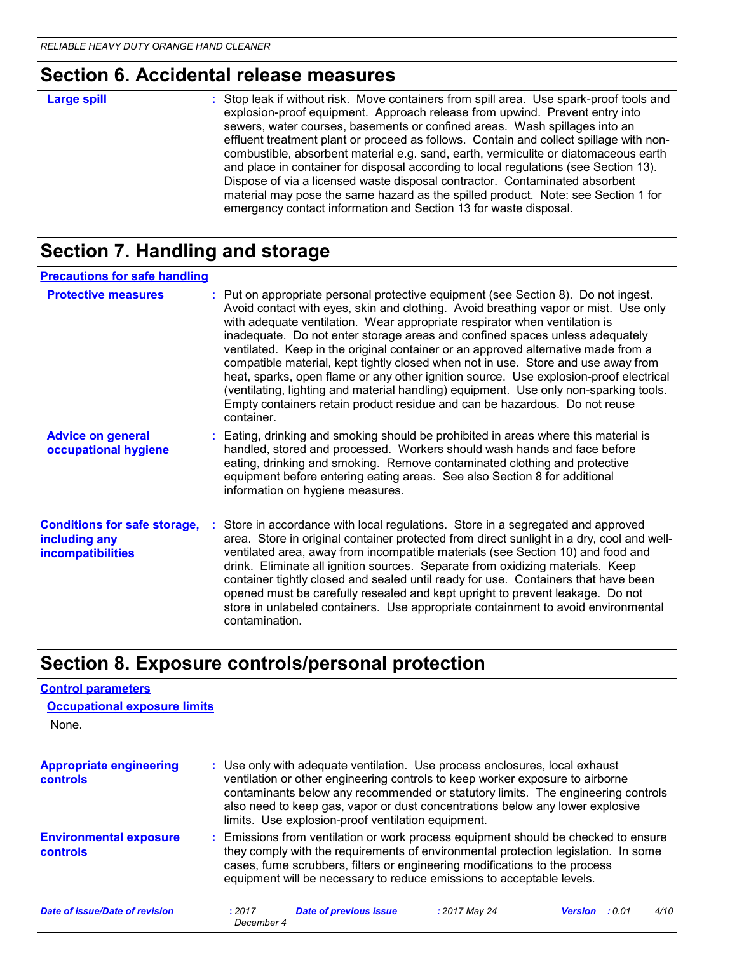### **Section 6. Accidental release measures**

: Stop leak if without risk. Move containers from spill area. Use spark-proof tools and explosion-proof equipment. Approach release from upwind. Prevent entry into sewers, water courses, basements or confined areas. Wash spillages into an effluent treatment plant or proceed as follows. Contain and collect spillage with noncombustible, absorbent material e.g. sand, earth, vermiculite or diatomaceous earth and place in container for disposal according to local regulations (see Section 13). Dispose of via a licensed waste disposal contractor. Contaminated absorbent material may pose the same hazard as the spilled product. Note: see Section 1 for emergency contact information and Section 13 for waste disposal. **Large spill :**

### **Section 7. Handling and storage**

| <b>Precautions for safe handling</b>                                             |                                                                                                                                                                                                                                                                                                                                                                                                                                                                                                                                                                                                                                                                                                                                                                                                 |
|----------------------------------------------------------------------------------|-------------------------------------------------------------------------------------------------------------------------------------------------------------------------------------------------------------------------------------------------------------------------------------------------------------------------------------------------------------------------------------------------------------------------------------------------------------------------------------------------------------------------------------------------------------------------------------------------------------------------------------------------------------------------------------------------------------------------------------------------------------------------------------------------|
| <b>Protective measures</b>                                                       | : Put on appropriate personal protective equipment (see Section 8). Do not ingest.<br>Avoid contact with eyes, skin and clothing. Avoid breathing vapor or mist. Use only<br>with adequate ventilation. Wear appropriate respirator when ventilation is<br>inadequate. Do not enter storage areas and confined spaces unless adequately<br>ventilated. Keep in the original container or an approved alternative made from a<br>compatible material, kept tightly closed when not in use. Store and use away from<br>heat, sparks, open flame or any other ignition source. Use explosion-proof electrical<br>(ventilating, lighting and material handling) equipment. Use only non-sparking tools.<br>Empty containers retain product residue and can be hazardous. Do not reuse<br>container. |
| <b>Advice on general</b><br>occupational hygiene                                 | : Eating, drinking and smoking should be prohibited in areas where this material is<br>handled, stored and processed. Workers should wash hands and face before<br>eating, drinking and smoking. Remove contaminated clothing and protective<br>equipment before entering eating areas. See also Section 8 for additional<br>information on hygiene measures.                                                                                                                                                                                                                                                                                                                                                                                                                                   |
| <b>Conditions for safe storage,</b><br>including any<br><i>incompatibilities</i> | : Store in accordance with local regulations. Store in a segregated and approved<br>area. Store in original container protected from direct sunlight in a dry, cool and well-<br>ventilated area, away from incompatible materials (see Section 10) and food and<br>drink. Eliminate all ignition sources. Separate from oxidizing materials. Keep<br>container tightly closed and sealed until ready for use. Containers that have been<br>opened must be carefully resealed and kept upright to prevent leakage. Do not<br>store in unlabeled containers. Use appropriate containment to avoid environmental<br>contamination.                                                                                                                                                                |

# **Section 8. Exposure controls/personal protection**

# **Control parameters**

| <b>Occupational exposure limits</b>        |                      |                                                                                                                                                                                                                                                                                                                                                                                         |               |                          |      |
|--------------------------------------------|----------------------|-----------------------------------------------------------------------------------------------------------------------------------------------------------------------------------------------------------------------------------------------------------------------------------------------------------------------------------------------------------------------------------------|---------------|--------------------------|------|
| None.                                      |                      |                                                                                                                                                                                                                                                                                                                                                                                         |               |                          |      |
| <b>Appropriate engineering</b><br>controls |                      | : Use only with adequate ventilation. Use process enclosures, local exhaust<br>ventilation or other engineering controls to keep worker exposure to airborne<br>contaminants below any recommended or statutory limits. The engineering controls<br>also need to keep gas, vapor or dust concentrations below any lower explosive<br>limits. Use explosion-proof ventilation equipment. |               |                          |      |
| <b>Environmental exposure</b><br>controls  |                      | : Emissions from ventilation or work process equipment should be checked to ensure<br>they comply with the requirements of environmental protection legislation. In some<br>cases, fume scrubbers, filters or engineering modifications to the process<br>equipment will be necessary to reduce emissions to acceptable levels.                                                         |               |                          |      |
| Date of issue/Date of revision             | : 2017<br>December 4 | <b>Date of previous issue</b>                                                                                                                                                                                                                                                                                                                                                           | : 2017 May 24 | : 0.01<br><b>Version</b> | 4/10 |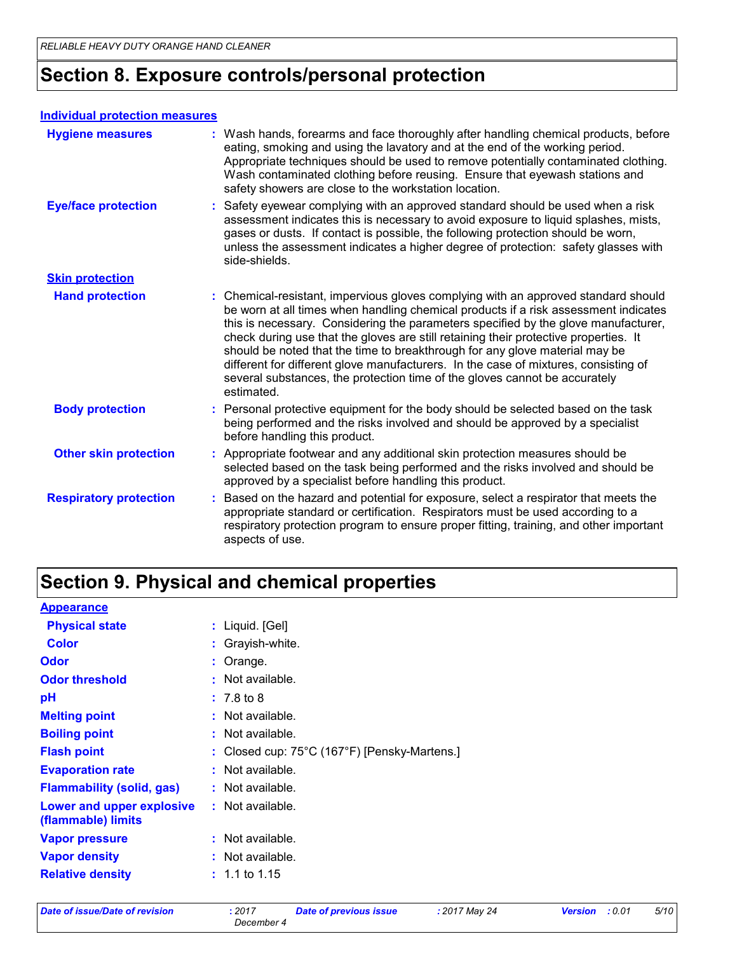### **Section 8. Exposure controls/personal protection**

#### **Individual protection measures**

| <b>Hygiene measures</b>       | : Wash hands, forearms and face thoroughly after handling chemical products, before<br>eating, smoking and using the lavatory and at the end of the working period.<br>Appropriate techniques should be used to remove potentially contaminated clothing.<br>Wash contaminated clothing before reusing. Ensure that eyewash stations and<br>safety showers are close to the workstation location.                                                                                                                                                                                                                         |
|-------------------------------|---------------------------------------------------------------------------------------------------------------------------------------------------------------------------------------------------------------------------------------------------------------------------------------------------------------------------------------------------------------------------------------------------------------------------------------------------------------------------------------------------------------------------------------------------------------------------------------------------------------------------|
| <b>Eye/face protection</b>    | Safety eyewear complying with an approved standard should be used when a risk<br>assessment indicates this is necessary to avoid exposure to liquid splashes, mists,<br>gases or dusts. If contact is possible, the following protection should be worn,<br>unless the assessment indicates a higher degree of protection: safety glasses with<br>side-shields.                                                                                                                                                                                                                                                           |
| <b>Skin protection</b>        |                                                                                                                                                                                                                                                                                                                                                                                                                                                                                                                                                                                                                           |
| <b>Hand protection</b>        | : Chemical-resistant, impervious gloves complying with an approved standard should<br>be worn at all times when handling chemical products if a risk assessment indicates<br>this is necessary. Considering the parameters specified by the glove manufacturer,<br>check during use that the gloves are still retaining their protective properties. It<br>should be noted that the time to breakthrough for any glove material may be<br>different for different glove manufacturers. In the case of mixtures, consisting of<br>several substances, the protection time of the gloves cannot be accurately<br>estimated. |
| <b>Body protection</b>        | Personal protective equipment for the body should be selected based on the task<br>being performed and the risks involved and should be approved by a specialist<br>before handling this product.                                                                                                                                                                                                                                                                                                                                                                                                                         |
| <b>Other skin protection</b>  | Appropriate footwear and any additional skin protection measures should be<br>selected based on the task being performed and the risks involved and should be<br>approved by a specialist before handling this product.                                                                                                                                                                                                                                                                                                                                                                                                   |
| <b>Respiratory protection</b> | Based on the hazard and potential for exposure, select a respirator that meets the<br>appropriate standard or certification. Respirators must be used according to a<br>respiratory protection program to ensure proper fitting, training, and other important<br>aspects of use.                                                                                                                                                                                                                                                                                                                                         |

# **Section 9. Physical and chemical properties**

| <b>Appearance</b>                               |                                                                   |
|-------------------------------------------------|-------------------------------------------------------------------|
| <b>Physical state</b>                           | $:$ Liquid. [Gel]                                                 |
| <b>Color</b>                                    | : Grayish-white.                                                  |
| Odor                                            | $:$ Orange.                                                       |
| <b>Odor threshold</b>                           | : Not available.                                                  |
| рH                                              | $: 7.8$ to 8                                                      |
| <b>Melting point</b>                            | : Not available.                                                  |
| <b>Boiling point</b>                            | : Not available.                                                  |
| <b>Flash point</b>                              | : Closed cup: $75^{\circ}$ C (167 $^{\circ}$ F) [Pensky-Martens.] |
| <b>Evaporation rate</b>                         | : Not available.                                                  |
| <b>Flammability (solid, gas)</b>                | : Not available.                                                  |
| Lower and upper explosive<br>(flammable) limits | : Not available.                                                  |
| <b>Vapor pressure</b>                           | : Not available.                                                  |
| <b>Vapor density</b>                            | : Not available.                                                  |
| <b>Relative density</b>                         | $: 1.1$ to 1.15                                                   |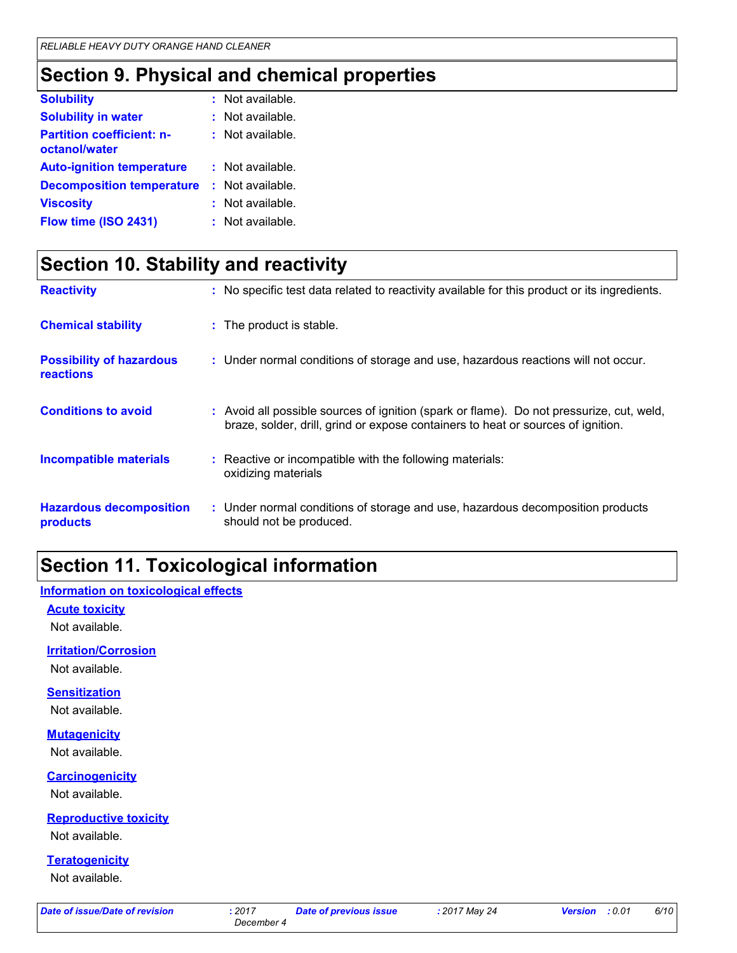### **Section 9. Physical and chemical properties**

| <b>Solubility</b>                                 | : Not available. |
|---------------------------------------------------|------------------|
| <b>Solubility in water</b>                        | : Not available. |
| <b>Partition coefficient: n-</b><br>octanol/water | : Not available. |
| <b>Auto-ignition temperature</b>                  | : Not available. |
| <b>Decomposition temperature</b>                  | : Not available. |
| <b>Viscosity</b>                                  | : Not available. |
| Flow time (ISO 2431)                              | : Not available. |

# **Section 10. Stability and reactivity**

| <b>Reactivity</b>                                   | : No specific test data related to reactivity available for this product or its ingredients.                                                                                 |
|-----------------------------------------------------|------------------------------------------------------------------------------------------------------------------------------------------------------------------------------|
| <b>Chemical stability</b>                           | : The product is stable.                                                                                                                                                     |
| <b>Possibility of hazardous</b><br><b>reactions</b> | : Under normal conditions of storage and use, hazardous reactions will not occur.                                                                                            |
| <b>Conditions to avoid</b>                          | : Avoid all possible sources of ignition (spark or flame). Do not pressurize, cut, weld,<br>braze, solder, drill, grind or expose containers to heat or sources of ignition. |
| <b>Incompatible materials</b>                       | : Reactive or incompatible with the following materials:<br>oxidizing materials                                                                                              |
| <b>Hazardous decomposition</b><br>products          | : Under normal conditions of storage and use, hazardous decomposition products<br>should not be produced.                                                                    |

### **Section 11. Toxicological information**

#### **Information on toxicological effects**

**Acute toxicity**

Not available.

#### **Irritation/Corrosion**

Not available.

#### **Sensitization**

Not available.

#### **Mutagenicity**

Not available.

#### **Carcinogenicity**

Not available.

### **Reproductive toxicity**

Not available.

#### **Teratogenicity**

Not available.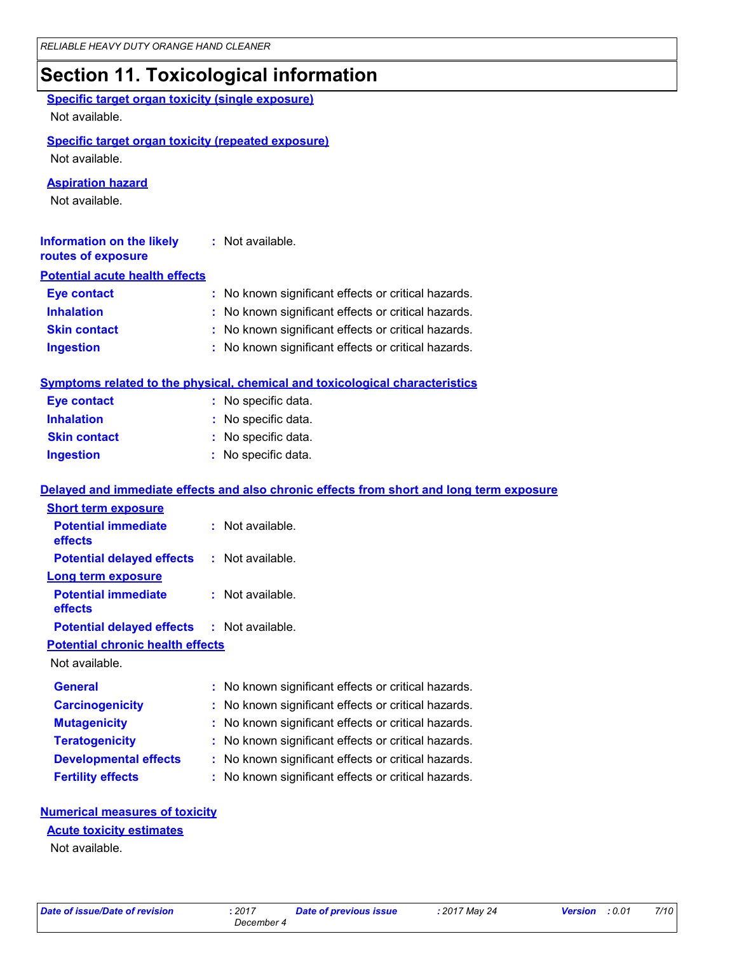# **Section 11. Toxicological information**

| <b>Specific target organ toxicity (single exposure)</b> |                                                                                          |  |  |
|---------------------------------------------------------|------------------------------------------------------------------------------------------|--|--|
| Not available.                                          |                                                                                          |  |  |
|                                                         |                                                                                          |  |  |
| Not available.                                          | <b>Specific target organ toxicity (repeated exposure)</b>                                |  |  |
|                                                         |                                                                                          |  |  |
| <b>Aspiration hazard</b>                                |                                                                                          |  |  |
| Not available.                                          |                                                                                          |  |  |
|                                                         |                                                                                          |  |  |
| <b>Information on the likely</b><br>routes of exposure  | : Not available.                                                                         |  |  |
| <b>Potential acute health effects</b>                   |                                                                                          |  |  |
| <b>Eye contact</b>                                      | : No known significant effects or critical hazards.                                      |  |  |
| <b>Inhalation</b>                                       | : No known significant effects or critical hazards.                                      |  |  |
| <b>Skin contact</b>                                     | : No known significant effects or critical hazards.                                      |  |  |
| <b>Ingestion</b>                                        | : No known significant effects or critical hazards.                                      |  |  |
|                                                         |                                                                                          |  |  |
|                                                         | Symptoms related to the physical, chemical and toxicological characteristics             |  |  |
| <b>Eye contact</b>                                      | : No specific data.                                                                      |  |  |
| <b>Inhalation</b>                                       | : No specific data.                                                                      |  |  |
| <b>Skin contact</b>                                     | : No specific data.                                                                      |  |  |
| <b>Ingestion</b>                                        | : No specific data.                                                                      |  |  |
|                                                         | Delayed and immediate effects and also chronic effects from short and long term exposure |  |  |
| <b>Short term exposure</b>                              |                                                                                          |  |  |
| <b>Potential immediate</b>                              | : Not available.                                                                         |  |  |
| effects                                                 |                                                                                          |  |  |
| <b>Potential delayed effects</b>                        | : Not available.                                                                         |  |  |
| <b>Long term exposure</b>                               |                                                                                          |  |  |
| <b>Potential immediate</b><br>effects                   | : Not available.                                                                         |  |  |
| <b>Potential delayed effects : Not available.</b>       |                                                                                          |  |  |
| <b>Potential chronic health effects</b>                 |                                                                                          |  |  |
| Not available.                                          |                                                                                          |  |  |
| <b>General</b>                                          | : No known significant effects or critical hazards.                                      |  |  |
| <b>Carcinogenicity</b>                                  | No known significant effects or critical hazards.                                        |  |  |
| <b>Mutagenicity</b>                                     | No known significant effects or critical hazards.                                        |  |  |
| <b>Teratogenicity</b>                                   | No known significant effects or critical hazards.                                        |  |  |
| <b>Developmental effects</b>                            | No known significant effects or critical hazards.                                        |  |  |
| <b>Fertility effects</b>                                | No known significant effects or critical hazards.                                        |  |  |
|                                                         |                                                                                          |  |  |

#### **Numerical measures of toxicity**

**Acute toxicity estimates**

Not available.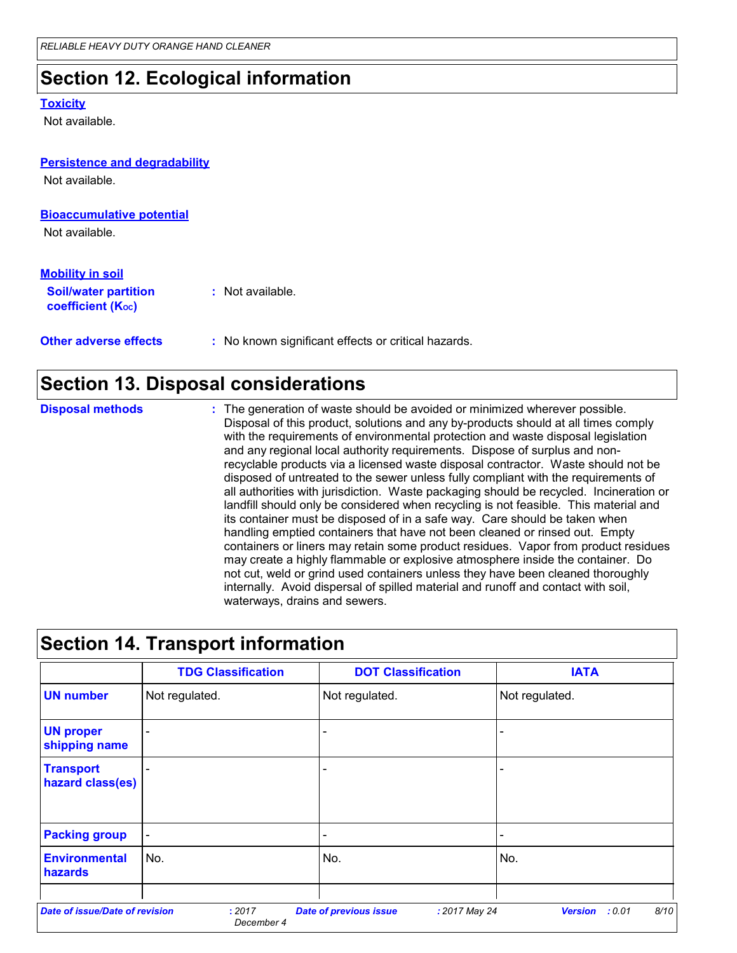## **Section 12. Ecological information**

#### **Toxicity**

Not available.

### **Persistence and degradability** Not available.

#### **Bioaccumulative potential**

Not available.

#### **Soil/water partition coefficient (KOC) :** Not available. **Mobility in soil**

**Other adverse effects** : No known significant effects or critical hazards.

### **Section 13. Disposal considerations**

**Disposal methods :**

The generation of waste should be avoided or minimized wherever possible. Disposal of this product, solutions and any by-products should at all times comply with the requirements of environmental protection and waste disposal legislation and any regional local authority requirements. Dispose of surplus and nonrecyclable products via a licensed waste disposal contractor. Waste should not be disposed of untreated to the sewer unless fully compliant with the requirements of all authorities with jurisdiction. Waste packaging should be recycled. Incineration or landfill should only be considered when recycling is not feasible. This material and its container must be disposed of in a safe way. Care should be taken when handling emptied containers that have not been cleaned or rinsed out. Empty containers or liners may retain some product residues. Vapor from product residues may create a highly flammable or explosive atmosphere inside the container. Do not cut, weld or grind used containers unless they have been cleaned thoroughly internally. Avoid dispersal of spilled material and runoff and contact with soil, waterways, drains and sewers.

### **Section 14. Transport information**

|                                       | <b>TDG Classification</b> | <b>DOT Classification</b>                      | <b>IATA</b>                      |
|---------------------------------------|---------------------------|------------------------------------------------|----------------------------------|
| <b>UN number</b>                      | Not regulated.            | Not regulated.                                 | Not regulated.                   |
| <b>UN proper</b><br>shipping name     |                           | $\overline{\phantom{0}}$                       |                                  |
| <b>Transport</b><br>hazard class(es)  |                           | $\overline{\phantom{0}}$                       | $\overline{\phantom{0}}$         |
| <b>Packing group</b>                  |                           | $\overline{\phantom{0}}$                       | $\overline{\phantom{0}}$         |
| <b>Environmental</b><br>hazards       | No.                       | No.                                            | No.                              |
| <b>Date of issue/Date of revision</b> | : 2017                    | <b>Date of previous issue</b><br>: 2017 May 24 | 8/10<br><b>Version</b><br>: 0.01 |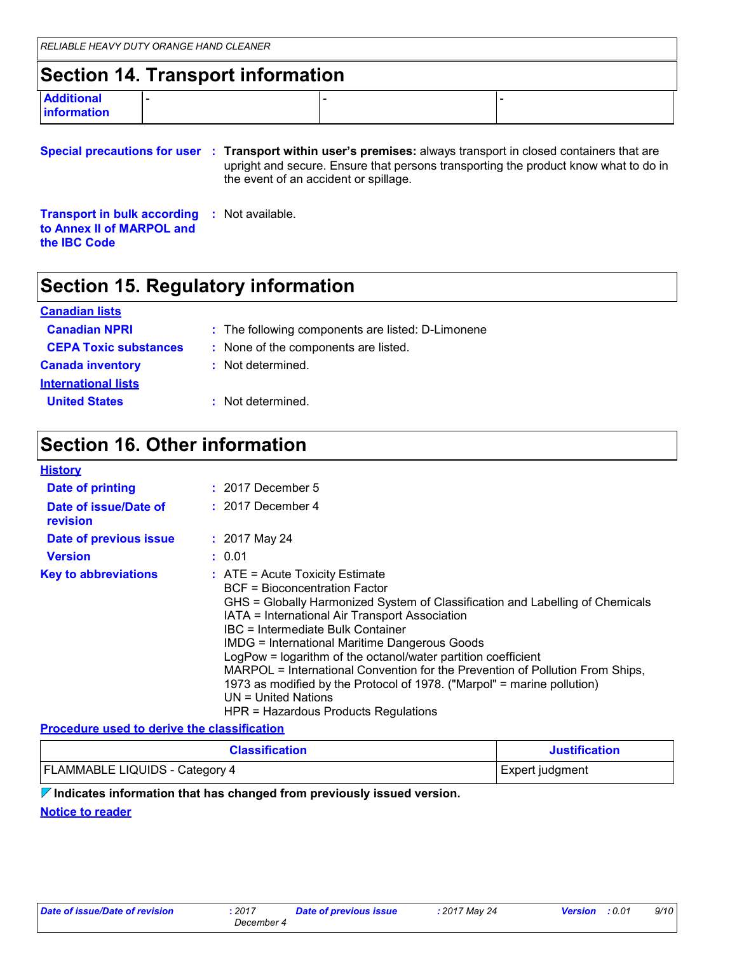# **Section 14. Transport information**

| <b>Additional</b> | - |  |
|-------------------|---|--|
| information       |   |  |
|                   |   |  |

|  | Special precautions for user : Transport within user's premises: always transport in closed containers that are              |  |
|--|------------------------------------------------------------------------------------------------------------------------------|--|
|  | upright and secure. Ensure that persons transporting the product know what to do in<br>the event of an accident or spillage. |  |

**Transport in bulk according :** Not available. **to Annex II of MARPOL and the IBC Code**

### **Section 15. Regulatory information**

#### **International lists Canada inventory :** Not determined. **United States :** Not determined. **Canadian lists Canadian NPRI :** The following components are listed: D-Limonene **CEPA Toxic substances :** None of the components are listed.

# **Section 16. Other information**

#### **History**

| <b>Date of printing</b>           | $: 2017$ December 5                                                                                                                                                                                                                                                                                                                                                                                                                                                                                                                                                                                   |
|-----------------------------------|-------------------------------------------------------------------------------------------------------------------------------------------------------------------------------------------------------------------------------------------------------------------------------------------------------------------------------------------------------------------------------------------------------------------------------------------------------------------------------------------------------------------------------------------------------------------------------------------------------|
| Date of issue/Date of<br>revision | $: 2017$ December 4                                                                                                                                                                                                                                                                                                                                                                                                                                                                                                                                                                                   |
| Date of previous issue            | $: 2017$ May 24                                                                                                                                                                                                                                                                                                                                                                                                                                                                                                                                                                                       |
| <b>Version</b>                    | : 0.01                                                                                                                                                                                                                                                                                                                                                                                                                                                                                                                                                                                                |
| <b>Key to abbreviations</b>       | $:$ ATE = Acute Toxicity Estimate<br><b>BCF</b> = Bioconcentration Factor<br>GHS = Globally Harmonized System of Classification and Labelling of Chemicals<br>IATA = International Air Transport Association<br>IBC = Intermediate Bulk Container<br><b>IMDG = International Maritime Dangerous Goods</b><br>LogPow = logarithm of the octanol/water partition coefficient<br>MARPOL = International Convention for the Prevention of Pollution From Ships,<br>1973 as modified by the Protocol of 1978. ("Marpol" = marine pollution)<br>UN = United Nations<br>HPR = Hazardous Products Regulations |

#### **Procedure used to derive the classification**

| <b>Classification</b>                 | <b>Justification</b> |
|---------------------------------------|----------------------|
| <b>FLAMMABLE LIQUIDS - Category 4</b> | Expert judgment      |

#### **Indicates information that has changed from previously issued version.**

**Notice to reader**